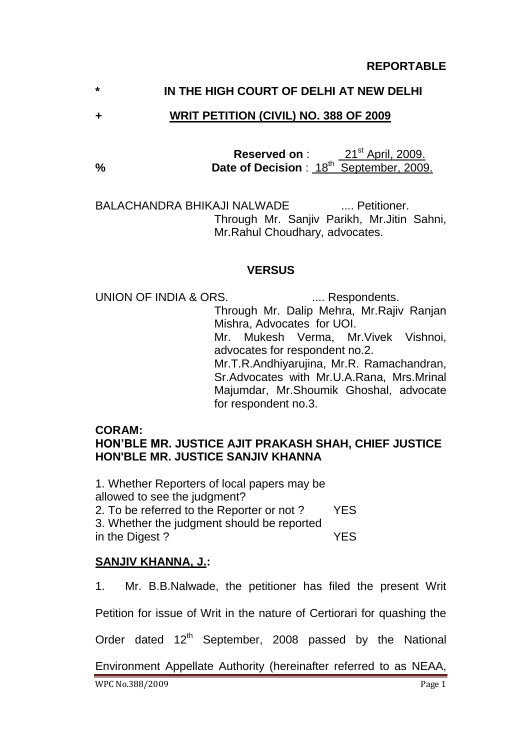## **\* IN THE HIGH COURT OF DELHI AT NEW DELHI**

### **+ WRIT PETITION (CIVIL) NO. 388 OF 2009**

**Reserved on** : 21<sup>st</sup> April, 2009. % Date of Decision : 18<sup>th</sup> September, 2009.

BALACHANDRA BHIKAJI NALWADE **..... Petitioner** Through Mr. Sanjiv Parikh, Mr.Jitin Sahni, Mr.Rahul Choudhary, advocates.

### **VERSUS**

UNION OF INDIA & ORS. ..... Respondents.

Through Mr. Dalip Mehra, Mr.Rajiv Ranjan Mishra, Advocates for UOI.

Mr. Mukesh Verma, Mr.Vivek Vishnoi, advocates for respondent no.2.

Mr.T.R.Andhiyarujina, Mr.R. Ramachandran, Sr.Advocates with Mr.U.A.Rana, Mrs.Mrinal Majumdar, Mr.Shoumik Ghoshal, advocate for respondent no.3.

### **CORAM:**

## **HON'BLE MR. JUSTICE AJIT PRAKASH SHAH, CHIEF JUSTICE HON'BLE MR. JUSTICE SANJIV KHANNA**

1. Whether Reporters of local papers may be allowed to see the judgment? 2. To be referred to the Reporter or not ? YES 3. Whether the judgment should be reported in the Digest ? YES

# **SANJIV KHANNA, J.:**

1. Mr. B.B.Nalwade, the petitioner has filed the present Writ

Petition for issue of Writ in the nature of Certiorari for quashing the

Order dated 12<sup>th</sup> September, 2008 passed by the National

Environment Appellate Authority (hereinafter referred to as NEAA,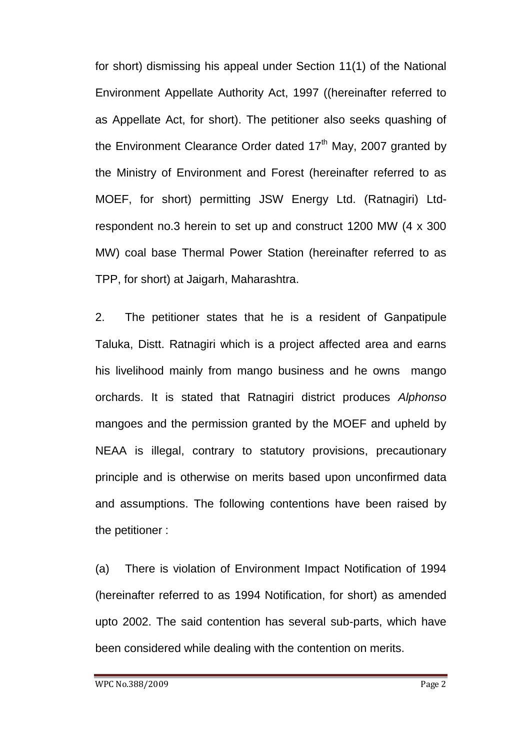for short) dismissing his appeal under Section 11(1) of the National Environment Appellate Authority Act, 1997 ((hereinafter referred to as Appellate Act, for short). The petitioner also seeks quashing of the Environment Clearance Order dated  $17<sup>th</sup>$  May, 2007 granted by the Ministry of Environment and Forest (hereinafter referred to as MOEF, for short) permitting JSW Energy Ltd. (Ratnagiri) Ltdrespondent no.3 herein to set up and construct 1200 MW (4 x 300 MW) coal base Thermal Power Station (hereinafter referred to as TPP, for short) at Jaigarh, Maharashtra.

2. The petitioner states that he is a resident of Ganpatipule Taluka, Distt. Ratnagiri which is a project affected area and earns his livelihood mainly from mango business and he owns mango orchards. It is stated that Ratnagiri district produces *Alphonso* mangoes and the permission granted by the MOEF and upheld by NEAA is illegal, contrary to statutory provisions, precautionary principle and is otherwise on merits based upon unconfirmed data and assumptions. The following contentions have been raised by the petitioner :

(a) There is violation of Environment Impact Notification of 1994 (hereinafter referred to as 1994 Notification, for short) as amended upto 2002. The said contention has several sub-parts, which have been considered while dealing with the contention on merits.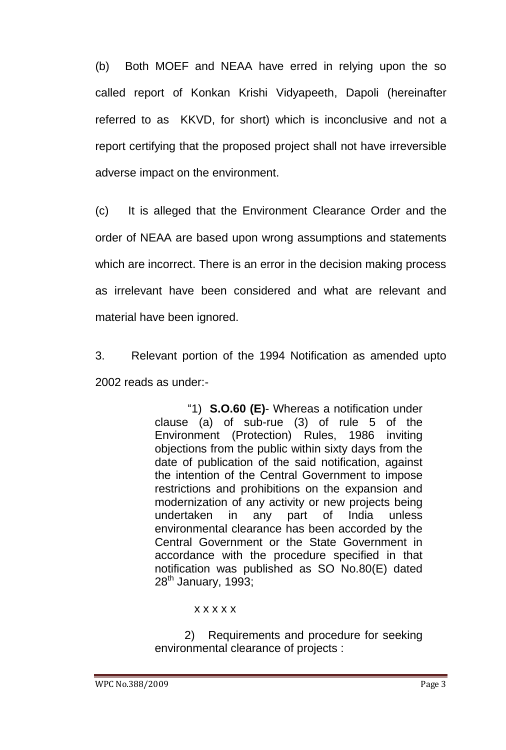(b) Both MOEF and NEAA have erred in relying upon the so called report of Konkan Krishi Vidyapeeth, Dapoli (hereinafter referred to as KKVD, for short) which is inconclusive and not a report certifying that the proposed project shall not have irreversible adverse impact on the environment.

(c) It is alleged that the Environment Clearance Order and the order of NEAA are based upon wrong assumptions and statements which are incorrect. There is an error in the decision making process as irrelevant have been considered and what are relevant and material have been ignored.

3. Relevant portion of the 1994 Notification as amended upto 2002 reads as under:-

> "1) **S.O.60 (E)**- Whereas a notification under clause (a) of sub-rue (3) of rule 5 of the Environment (Protection) Rules, 1986 inviting objections from the public within sixty days from the date of publication of the said notification, against the intention of the Central Government to impose restrictions and prohibitions on the expansion and modernization of any activity or new projects being undertaken in any part of India unless environmental clearance has been accorded by the Central Government or the State Government in accordance with the procedure specified in that notification was published as SO No.80(E) dated  $28<sup>th</sup>$  January, 1993;

### x x x x x

2) Requirements and procedure for seeking environmental clearance of projects :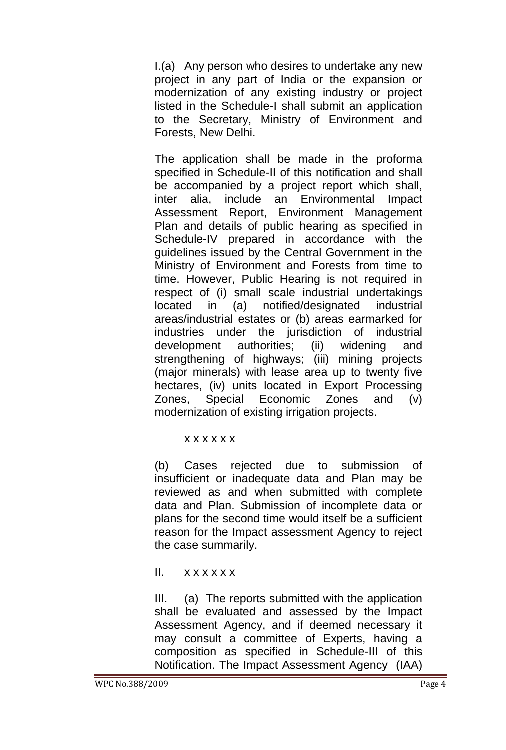I.(a) Any person who desires to undertake any new project in any part of India or the expansion or modernization of any existing industry or project listed in the Schedule-I shall submit an application to the Secretary, Ministry of Environment and Forests, New Delhi.

The application shall be made in the proforma specified in Schedule-II of this notification and shall be accompanied by a project report which shall, inter alia, include an Environmental Impact Assessment Report, Environment Management Plan and details of public hearing as specified in Schedule-IV prepared in accordance with the guidelines issued by the Central Government in the Ministry of Environment and Forests from time to time. However, Public Hearing is not required in respect of (i) small scale industrial undertakings located in (a) notified/designated industrial areas/industrial estates or (b) areas earmarked for industries under the jurisdiction of industrial development authorities; (ii) widening and strengthening of highways; (iii) mining projects (major minerals) with lease area up to twenty five hectares, (iv) units located in Export Processing Zones, Special Economic Zones and (v) modernization of existing irrigation projects.

#### x x x x x x

(b) Cases rejected due to submission of insufficient or inadequate data and Plan may be reviewed as and when submitted with complete data and Plan. Submission of incomplete data or plans for the second time would itself be a sufficient reason for the Impact assessment Agency to reject the case summarily.

II. x x x x x x

III. (a) The reports submitted with the application shall be evaluated and assessed by the Impact Assessment Agency, and if deemed necessary it may consult a committee of Experts, having a composition as specified in Schedule-III of this Notification. The Impact Assessment Agency (IAA)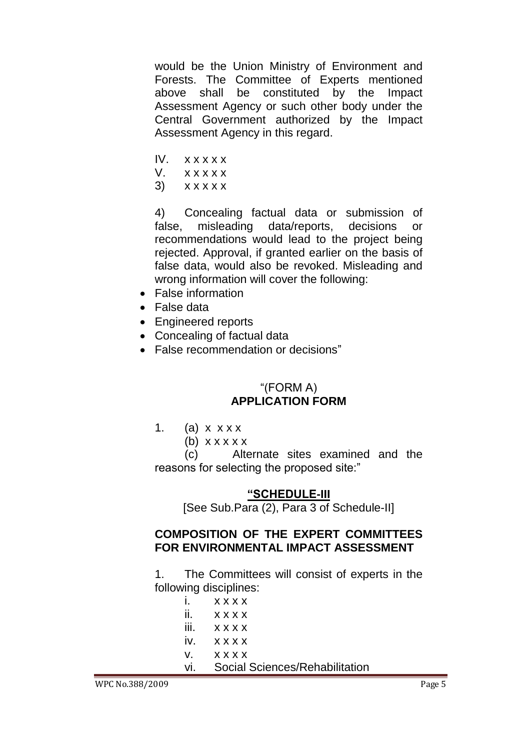would be the Union Ministry of Environment and Forests. The Committee of Experts mentioned above shall be constituted by the Impact Assessment Agency or such other body under the Central Government authorized by the Impact Assessment Agency in this regard.

- IV. x x x x x
- V. x x x x x
- $3)$   $x$   $x$   $x$   $x$   $x$

4) Concealing factual data or submission of false, misleading data/reports, decisions or recommendations would lead to the project being rejected. Approval, if granted earlier on the basis of false data, would also be revoked. Misleading and wrong information will cover the following:

- False information
- False data
- Engineered reports
- Concealing of factual data
- False recommendation or decisions"

### "(FORM A) **APPLICATION FORM**

- 1. (a)  $x$   $\times$   $x$   $\times$ 
	- (b)  $x \times x \times x$

(c) Alternate sites examined and the reasons for selecting the proposed site:"

#### **"SCHEDULE-III**

[See Sub.Para (2), Para 3 of Schedule-II]

### **COMPOSITION OF THE EXPERT COMMITTEES FOR ENVIRONMENTAL IMPACT ASSESSMENT**

1. The Committees will consist of experts in the following disciplines:

| $\mathbf{i}$ . $\mathbf{X} \times \mathbf{X} \times \mathbf{X}$ |
|-----------------------------------------------------------------|
| $i$ $x x x x$                                                   |
| $iii.$ $x x x x$                                                |
| $IV.$ $X$ $X$ $X$ $X$                                           |
| V. XXXX                                                         |
| vi. Social Sciences/Rehabilitation                              |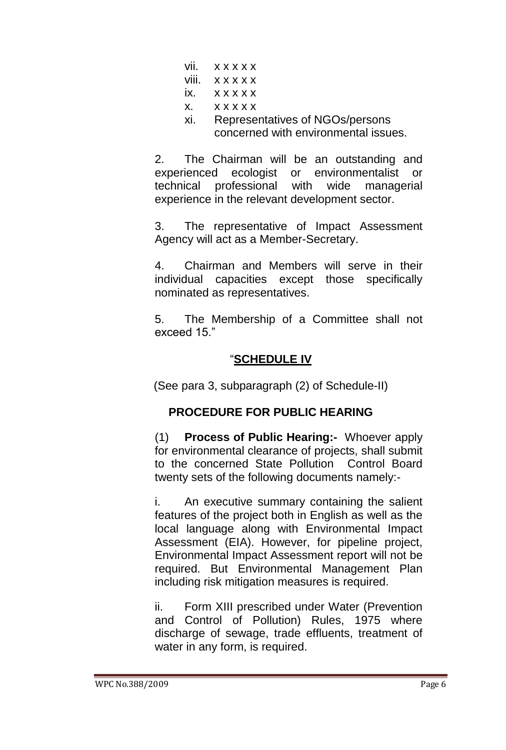| $V$ ii. $X$ $X$ $X$ $X$ $X$                                                               |
|-------------------------------------------------------------------------------------------|
| viii. x x x x x                                                                           |
| $\overline{X}$ $\overline{X}$ $\overline{X}$ $\overline{X}$ $\overline{X}$ $\overline{X}$ |
| X. XXXXX                                                                                  |
| xi. Representatives of NGOs/persons<br>concerned with environmental issues.               |

2. The Chairman will be an outstanding and experienced ecologist or environmentalist or technical professional with wide managerial experience in the relevant development sector.

3. The representative of Impact Assessment Agency will act as a Member-Secretary.

4. Chairman and Members will serve in their individual capacities except those specifically nominated as representatives.

5. The Membership of a Committee shall not exceed 15."

# "**SCHEDULE IV**

(See para 3, subparagraph (2) of Schedule-II)

# **PROCEDURE FOR PUBLIC HEARING**

(1) **Process of Public Hearing:-** Whoever apply for environmental clearance of projects, shall submit to the concerned State Pollution Control Board twenty sets of the following documents namely:-

i. An executive summary containing the salient features of the project both in English as well as the local language along with Environmental Impact Assessment (EIA). However, for pipeline project, Environmental Impact Assessment report will not be required. But Environmental Management Plan including risk mitigation measures is required.

ii. Form XIII prescribed under Water (Prevention and Control of Pollution) Rules, 1975 where discharge of sewage, trade effluents, treatment of water in any form, is required.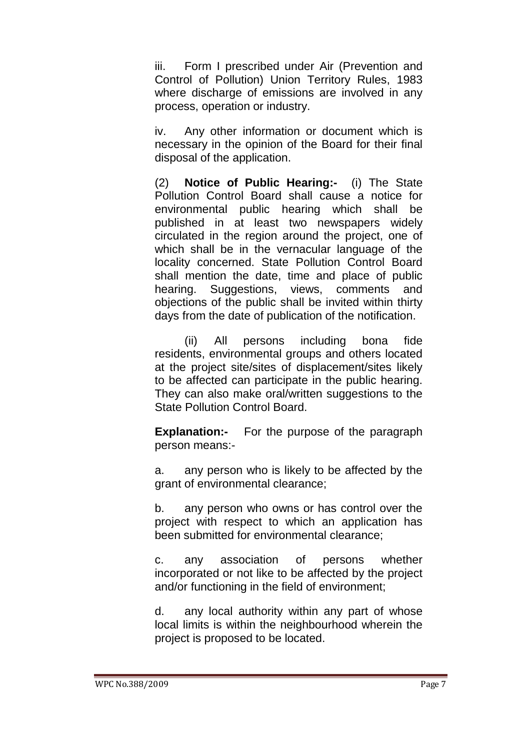iii. Form I prescribed under Air (Prevention and Control of Pollution) Union Territory Rules, 1983 where discharge of emissions are involved in any process, operation or industry.

iv. Any other information or document which is necessary in the opinion of the Board for their final disposal of the application.

(2) **Notice of Public Hearing:-** (i) The State Pollution Control Board shall cause a notice for environmental public hearing which shall be published in at least two newspapers widely circulated in the region around the project, one of which shall be in the vernacular language of the locality concerned. State Pollution Control Board shall mention the date, time and place of public hearing. Suggestions, views, comments and objections of the public shall be invited within thirty days from the date of publication of the notification.

(ii) All persons including bona fide residents, environmental groups and others located at the project site/sites of displacement/sites likely to be affected can participate in the public hearing. They can also make oral/written suggestions to the State Pollution Control Board.

**Explanation:-** For the purpose of the paragraph person means:-

a. any person who is likely to be affected by the grant of environmental clearance;

b. any person who owns or has control over the project with respect to which an application has been submitted for environmental clearance;

c. any association of persons whether incorporated or not like to be affected by the project and/or functioning in the field of environment;

d. any local authority within any part of whose local limits is within the neighbourhood wherein the project is proposed to be located.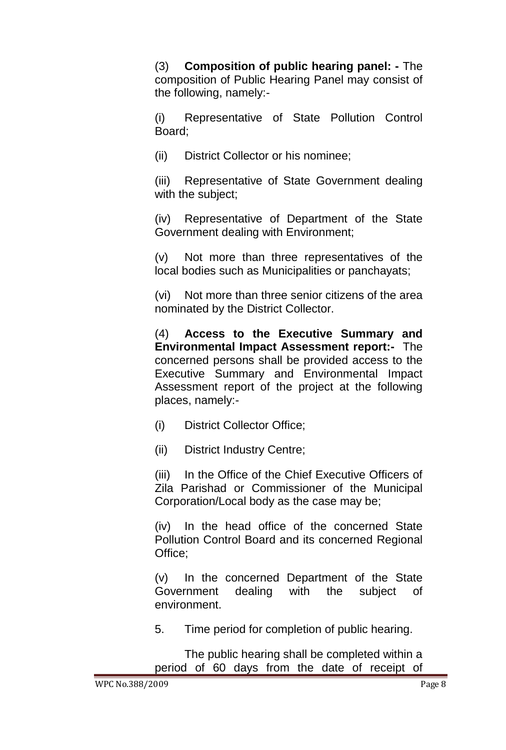(3) **Composition of public hearing panel: -** The composition of Public Hearing Panel may consist of the following, namely:-

(i) Representative of State Pollution Control Board;

(ii) District Collector or his nominee;

(iii) Representative of State Government dealing with the subject;

(iv) Representative of Department of the State Government dealing with Environment;

(v) Not more than three representatives of the local bodies such as Municipalities or panchayats;

(vi) Not more than three senior citizens of the area nominated by the District Collector.

(4) **Access to the Executive Summary and Environmental Impact Assessment report:-** The concerned persons shall be provided access to the Executive Summary and Environmental Impact Assessment report of the project at the following places, namely:-

(i) District Collector Office;

(ii) District Industry Centre;

(iii) In the Office of the Chief Executive Officers of Zila Parishad or Commissioner of the Municipal Corporation/Local body as the case may be;

(iv) In the head office of the concerned State Pollution Control Board and its concerned Regional Office;

(v) In the concerned Department of the State Government dealing with the subject of environment.

5. Time period for completion of public hearing.

The public hearing shall be completed within a period of 60 days from the date of receipt of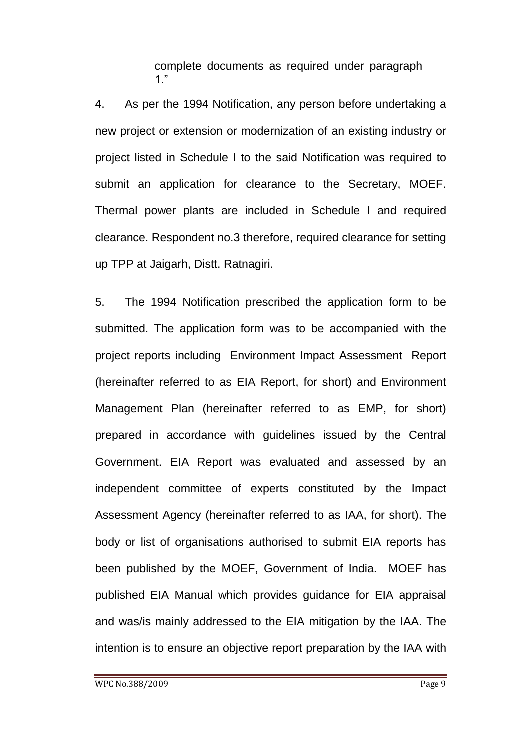complete documents as required under paragraph 1."

4. As per the 1994 Notification, any person before undertaking a new project or extension or modernization of an existing industry or project listed in Schedule I to the said Notification was required to submit an application for clearance to the Secretary, MOEF. Thermal power plants are included in Schedule I and required clearance. Respondent no.3 therefore, required clearance for setting up TPP at Jaigarh, Distt. Ratnagiri.

5. The 1994 Notification prescribed the application form to be submitted. The application form was to be accompanied with the project reports including Environment Impact Assessment Report (hereinafter referred to as EIA Report, for short) and Environment Management Plan (hereinafter referred to as EMP, for short) prepared in accordance with guidelines issued by the Central Government. EIA Report was evaluated and assessed by an independent committee of experts constituted by the Impact Assessment Agency (hereinafter referred to as IAA, for short). The body or list of organisations authorised to submit EIA reports has been published by the MOEF, Government of India. MOEF has published EIA Manual which provides guidance for EIA appraisal and was/is mainly addressed to the EIA mitigation by the IAA. The intention is to ensure an objective report preparation by the IAA with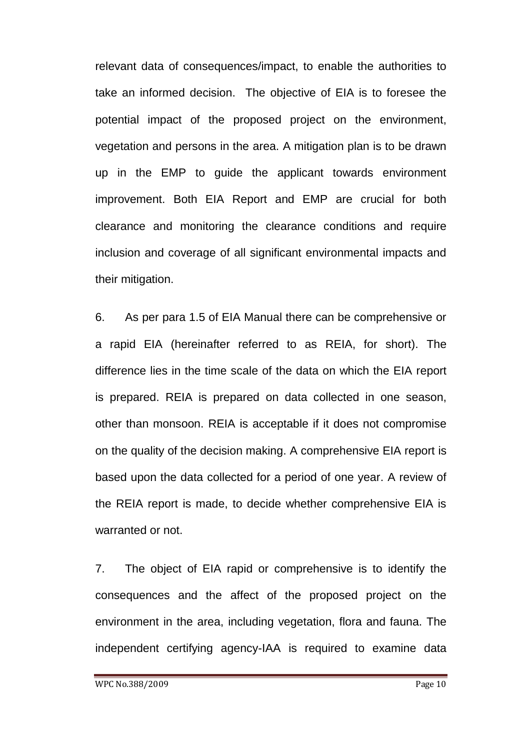relevant data of consequences/impact, to enable the authorities to take an informed decision. The objective of EIA is to foresee the potential impact of the proposed project on the environment, vegetation and persons in the area. A mitigation plan is to be drawn up in the EMP to guide the applicant towards environment improvement. Both EIA Report and EMP are crucial for both clearance and monitoring the clearance conditions and require inclusion and coverage of all significant environmental impacts and their mitigation.

6. As per para 1.5 of EIA Manual there can be comprehensive or a rapid EIA (hereinafter referred to as REIA, for short). The difference lies in the time scale of the data on which the EIA report is prepared. REIA is prepared on data collected in one season, other than monsoon. REIA is acceptable if it does not compromise on the quality of the decision making. A comprehensive EIA report is based upon the data collected for a period of one year. A review of the REIA report is made, to decide whether comprehensive EIA is warranted or not.

7. The object of EIA rapid or comprehensive is to identify the consequences and the affect of the proposed project on the environment in the area, including vegetation, flora and fauna. The independent certifying agency-IAA is required to examine data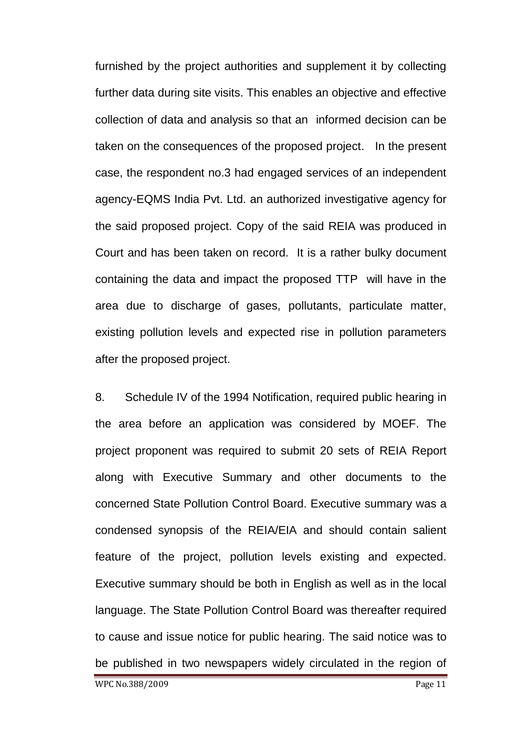furnished by the project authorities and supplement it by collecting further data during site visits. This enables an objective and effective collection of data and analysis so that an informed decision can be taken on the consequences of the proposed project. In the present case, the respondent no.3 had engaged services of an independent agency-EQMS India Pvt. Ltd. an authorized investigative agency for the said proposed project. Copy of the said REIA was produced in Court and has been taken on record. It is a rather bulky document containing the data and impact the proposed TTP will have in the area due to discharge of gases, pollutants, particulate matter, existing pollution levels and expected rise in pollution parameters after the proposed project.

8. Schedule IV of the 1994 Notification, required public hearing in the area before an application was considered by MOEF. The project proponent was required to submit 20 sets of REIA Report along with Executive Summary and other documents to the concerned State Pollution Control Board. Executive summary was a condensed synopsis of the REIA/EIA and should contain salient feature of the project, pollution levels existing and expected. Executive summary should be both in English as well as in the local language. The State Pollution Control Board was thereafter required to cause and issue notice for public hearing. The said notice was to be published in two newspapers widely circulated in the region of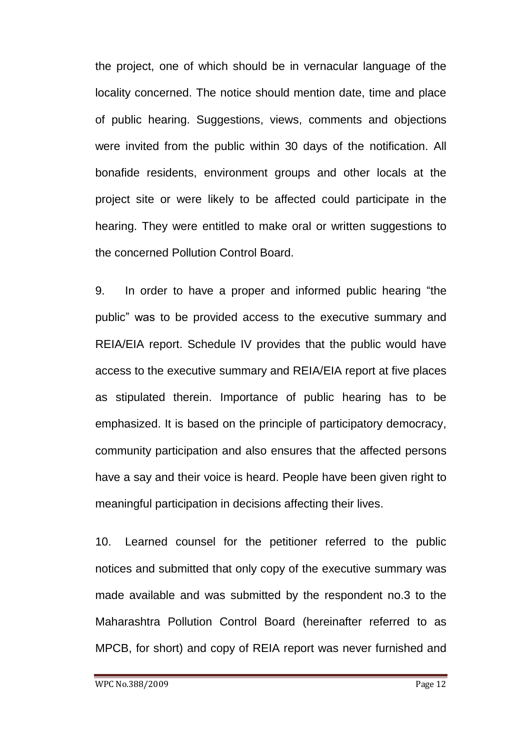the project, one of which should be in vernacular language of the locality concerned. The notice should mention date, time and place of public hearing. Suggestions, views, comments and objections were invited from the public within 30 days of the notification. All bonafide residents, environment groups and other locals at the project site or were likely to be affected could participate in the hearing. They were entitled to make oral or written suggestions to the concerned Pollution Control Board.

9. In order to have a proper and informed public hearing "the public" was to be provided access to the executive summary and REIA/EIA report. Schedule IV provides that the public would have access to the executive summary and REIA/EIA report at five places as stipulated therein. Importance of public hearing has to be emphasized. It is based on the principle of participatory democracy, community participation and also ensures that the affected persons have a say and their voice is heard. People have been given right to meaningful participation in decisions affecting their lives.

10. Learned counsel for the petitioner referred to the public notices and submitted that only copy of the executive summary was made available and was submitted by the respondent no.3 to the Maharashtra Pollution Control Board (hereinafter referred to as MPCB, for short) and copy of REIA report was never furnished and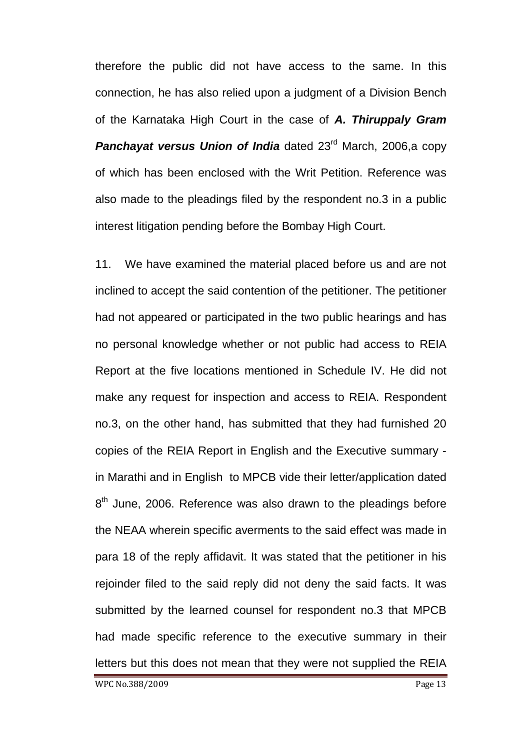therefore the public did not have access to the same. In this connection, he has also relied upon a judgment of a Division Bench of the Karnataka High Court in the case of *A. Thiruppaly Gram*  **Panchayat versus Union of India** dated 23<sup>rd</sup> March, 2006,a copy of which has been enclosed with the Writ Petition. Reference was also made to the pleadings filed by the respondent no.3 in a public interest litigation pending before the Bombay High Court.

11. We have examined the material placed before us and are not inclined to accept the said contention of the petitioner. The petitioner had not appeared or participated in the two public hearings and has no personal knowledge whether or not public had access to REIA Report at the five locations mentioned in Schedule IV. He did not make any request for inspection and access to REIA. Respondent no.3, on the other hand, has submitted that they had furnished 20 copies of the REIA Report in English and the Executive summary in Marathi and in English to MPCB vide their letter/application dated  $8<sup>th</sup>$  June, 2006. Reference was also drawn to the pleadings before the NEAA wherein specific averments to the said effect was made in para 18 of the reply affidavit. It was stated that the petitioner in his rejoinder filed to the said reply did not deny the said facts. It was submitted by the learned counsel for respondent no.3 that MPCB had made specific reference to the executive summary in their letters but this does not mean that they were not supplied the REIA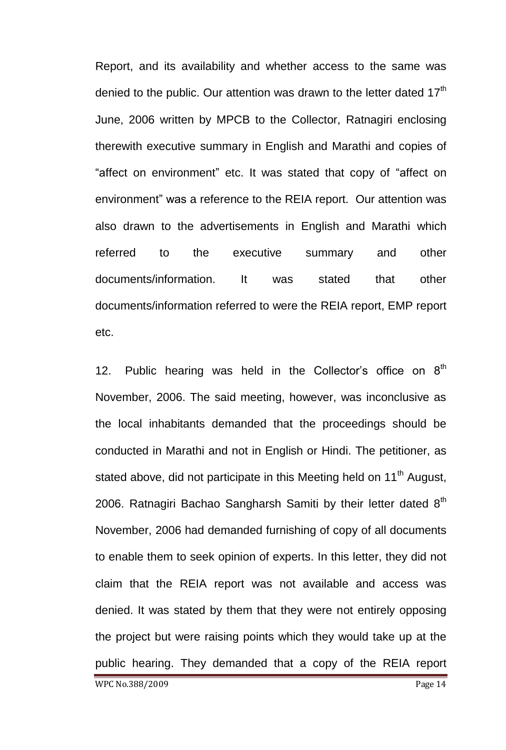Report, and its availability and whether access to the same was denied to the public. Our attention was drawn to the letter dated  $17<sup>th</sup>$ June, 2006 written by MPCB to the Collector, Ratnagiri enclosing therewith executive summary in English and Marathi and copies of "affect on environment" etc. It was stated that copy of "affect on environment" was a reference to the REIA report. Our attention was also drawn to the advertisements in English and Marathi which referred to the executive summary and other documents/information. It was stated that other documents/information referred to were the REIA report, EMP report etc.

12. Public hearing was held in the Collector's office on  $8<sup>th</sup>$ November, 2006. The said meeting, however, was inconclusive as the local inhabitants demanded that the proceedings should be conducted in Marathi and not in English or Hindi. The petitioner, as stated above, did not participate in this Meeting held on 11<sup>th</sup> August, 2006. Ratnagiri Bachao Sangharsh Samiti by their letter dated  $8<sup>th</sup>$ November, 2006 had demanded furnishing of copy of all documents to enable them to seek opinion of experts. In this letter, they did not claim that the REIA report was not available and access was denied. It was stated by them that they were not entirely opposing the project but were raising points which they would take up at the public hearing. They demanded that a copy of the REIA report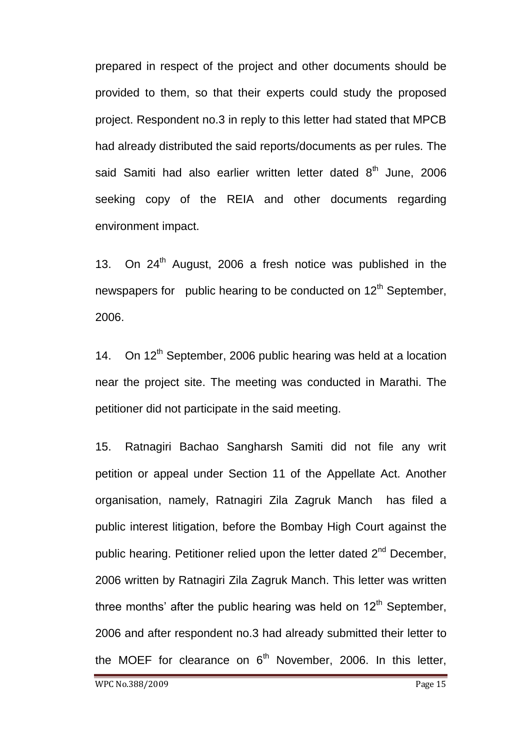prepared in respect of the project and other documents should be provided to them, so that their experts could study the proposed project. Respondent no.3 in reply to this letter had stated that MPCB had already distributed the said reports/documents as per rules. The said Samiti had also earlier written letter dated  $8<sup>th</sup>$  June, 2006 seeking copy of the REIA and other documents regarding environment impact.

13. On  $24<sup>th</sup>$  August, 2006 a fresh notice was published in the newspapers for public hearing to be conducted on 12<sup>th</sup> September, 2006.

14. On 12<sup>th</sup> September, 2006 public hearing was held at a location near the project site. The meeting was conducted in Marathi. The petitioner did not participate in the said meeting.

15. Ratnagiri Bachao Sangharsh Samiti did not file any writ petition or appeal under Section 11 of the Appellate Act. Another organisation, namely, Ratnagiri Zila Zagruk Manch has filed a public interest litigation, before the Bombay High Court against the public hearing. Petitioner relied upon the letter dated  $2<sup>nd</sup>$  December, 2006 written by Ratnagiri Zila Zagruk Manch. This letter was written three months' after the public hearing was held on  $12<sup>th</sup>$  September, 2006 and after respondent no.3 had already submitted their letter to the MOEF for clearance on  $6<sup>th</sup>$  November, 2006. In this letter,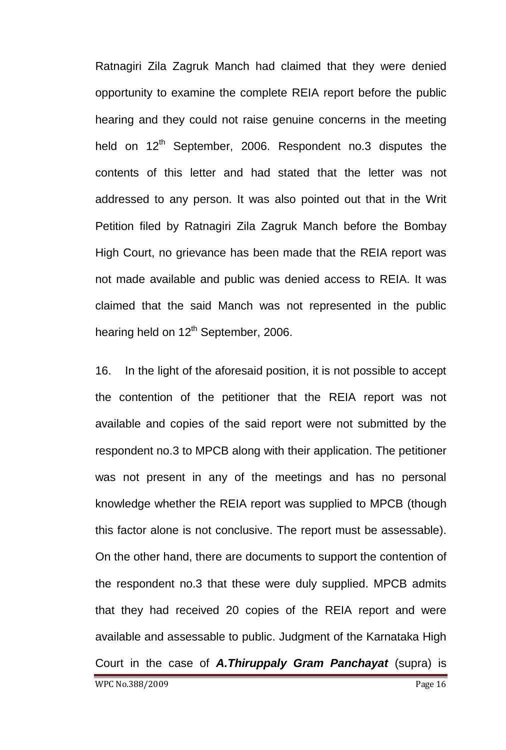Ratnagiri Zila Zagruk Manch had claimed that they were denied opportunity to examine the complete REIA report before the public hearing and they could not raise genuine concerns in the meeting held on 12<sup>th</sup> September, 2006. Respondent no.3 disputes the contents of this letter and had stated that the letter was not addressed to any person. It was also pointed out that in the Writ Petition filed by Ratnagiri Zila Zagruk Manch before the Bombay High Court, no grievance has been made that the REIA report was not made available and public was denied access to REIA. It was claimed that the said Manch was not represented in the public hearing held on  $12<sup>th</sup>$  September, 2006.

WPC No.388/2009 Page 16 16. In the light of the aforesaid position, it is not possible to accept the contention of the petitioner that the REIA report was not available and copies of the said report were not submitted by the respondent no.3 to MPCB along with their application. The petitioner was not present in any of the meetings and has no personal knowledge whether the REIA report was supplied to MPCB (though this factor alone is not conclusive. The report must be assessable). On the other hand, there are documents to support the contention of the respondent no.3 that these were duly supplied. MPCB admits that they had received 20 copies of the REIA report and were available and assessable to public. Judgment of the Karnataka High Court in the case of *A.Thiruppaly Gram Panchayat* (supra) is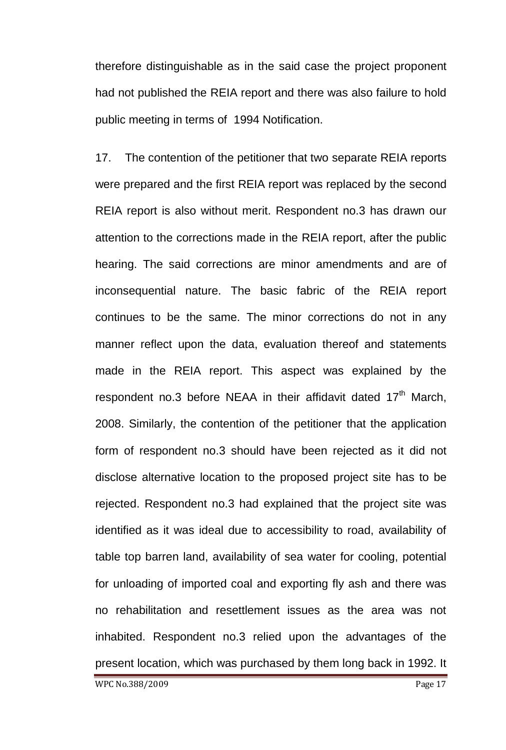therefore distinguishable as in the said case the project proponent had not published the REIA report and there was also failure to hold public meeting in terms of 1994 Notification.

17. The contention of the petitioner that two separate REIA reports were prepared and the first REIA report was replaced by the second REIA report is also without merit. Respondent no.3 has drawn our attention to the corrections made in the REIA report, after the public hearing. The said corrections are minor amendments and are of inconsequential nature. The basic fabric of the REIA report continues to be the same. The minor corrections do not in any manner reflect upon the data, evaluation thereof and statements made in the REIA report. This aspect was explained by the respondent no.3 before NEAA in their affidavit dated 17<sup>th</sup> March, 2008. Similarly, the contention of the petitioner that the application form of respondent no.3 should have been rejected as it did not disclose alternative location to the proposed project site has to be rejected. Respondent no.3 had explained that the project site was identified as it was ideal due to accessibility to road, availability of table top barren land, availability of sea water for cooling, potential for unloading of imported coal and exporting fly ash and there was no rehabilitation and resettlement issues as the area was not inhabited. Respondent no.3 relied upon the advantages of the present location, which was purchased by them long back in 1992. It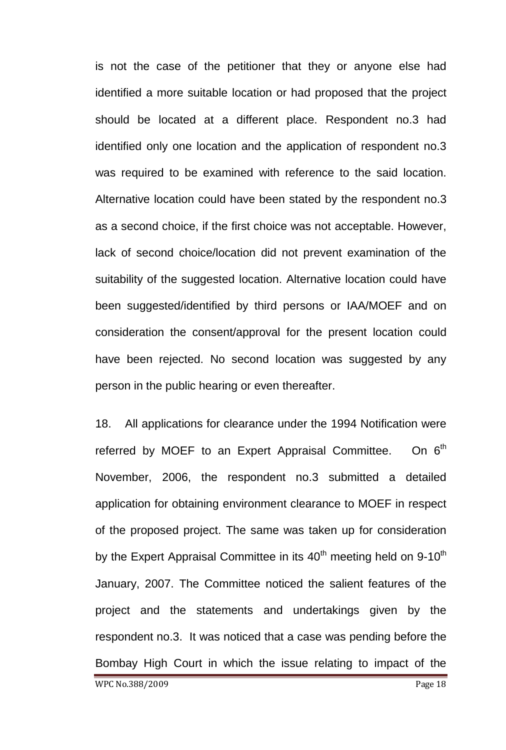is not the case of the petitioner that they or anyone else had identified a more suitable location or had proposed that the project should be located at a different place. Respondent no.3 had identified only one location and the application of respondent no.3 was required to be examined with reference to the said location. Alternative location could have been stated by the respondent no.3 as a second choice, if the first choice was not acceptable. However, lack of second choice/location did not prevent examination of the suitability of the suggested location. Alternative location could have been suggested/identified by third persons or IAA/MOEF and on consideration the consent/approval for the present location could have been rejected. No second location was suggested by any person in the public hearing or even thereafter.

18. All applications for clearance under the 1994 Notification were referred by MOEF to an Expert Appraisal Committee. On  $6<sup>th</sup>$ November, 2006, the respondent no.3 submitted a detailed application for obtaining environment clearance to MOEF in respect of the proposed project. The same was taken up for consideration by the Expert Appraisal Committee in its  $40<sup>th</sup>$  meeting held on 9-10<sup>th</sup> January, 2007. The Committee noticed the salient features of the project and the statements and undertakings given by the respondent no.3. It was noticed that a case was pending before the Bombay High Court in which the issue relating to impact of the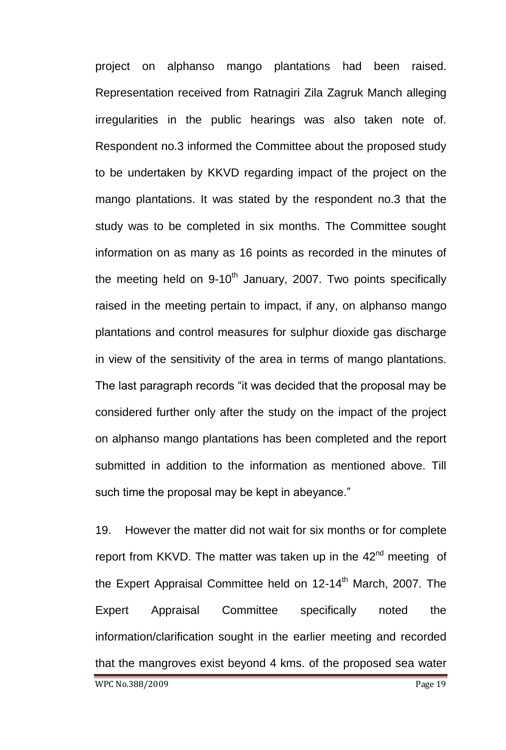project on alphanso mango plantations had been raised. Representation received from Ratnagiri Zila Zagruk Manch alleging irregularities in the public hearings was also taken note of. Respondent no.3 informed the Committee about the proposed study to be undertaken by KKVD regarding impact of the project on the mango plantations. It was stated by the respondent no.3 that the study was to be completed in six months. The Committee sought information on as many as 16 points as recorded in the minutes of the meeting held on  $9-10^{th}$  January, 2007. Two points specifically raised in the meeting pertain to impact, if any, on alphanso mango plantations and control measures for sulphur dioxide gas discharge in view of the sensitivity of the area in terms of mango plantations. The last paragraph records "it was decided that the proposal may be considered further only after the study on the impact of the project on alphanso mango plantations has been completed and the report submitted in addition to the information as mentioned above. Till such time the proposal may be kept in abeyance."

19. However the matter did not wait for six months or for complete report from KKVD. The matter was taken up in the 42<sup>nd</sup> meeting of the Expert Appraisal Committee held on  $12-14<sup>th</sup>$  March, 2007. The Expert Appraisal Committee specifically noted the information/clarification sought in the earlier meeting and recorded that the mangroves exist beyond 4 kms. of the proposed sea water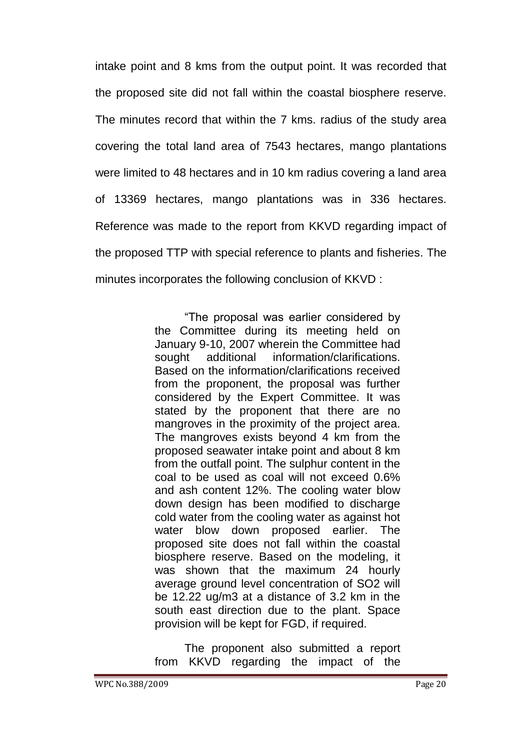intake point and 8 kms from the output point. It was recorded that the proposed site did not fall within the coastal biosphere reserve. The minutes record that within the 7 kms. radius of the study area covering the total land area of 7543 hectares, mango plantations were limited to 48 hectares and in 10 km radius covering a land area of 13369 hectares, mango plantations was in 336 hectares. Reference was made to the report from KKVD regarding impact of the proposed TTP with special reference to plants and fisheries. The minutes incorporates the following conclusion of KKVD :

> "The proposal was earlier considered by the Committee during its meeting held on January 9-10, 2007 wherein the Committee had sought additional information/clarifications. Based on the information/clarifications received from the proponent, the proposal was further considered by the Expert Committee. It was stated by the proponent that there are no mangroves in the proximity of the project area. The mangroves exists beyond 4 km from the proposed seawater intake point and about 8 km from the outfall point. The sulphur content in the coal to be used as coal will not exceed 0.6% and ash content 12%. The cooling water blow down design has been modified to discharge cold water from the cooling water as against hot water blow down proposed earlier. The proposed site does not fall within the coastal biosphere reserve. Based on the modeling, it was shown that the maximum 24 hourly average ground level concentration of SO2 will be 12.22 ug/m3 at a distance of 3.2 km in the south east direction due to the plant. Space provision will be kept for FGD, if required.

> The proponent also submitted a report from KKVD regarding the impact of the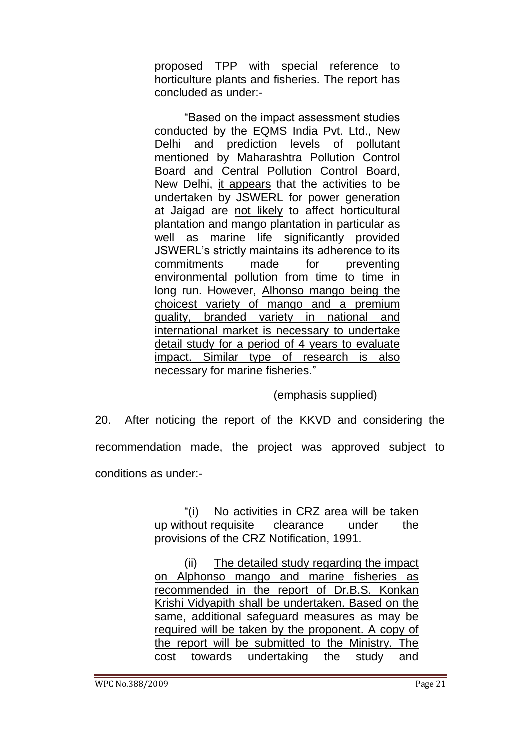proposed TPP with special reference to horticulture plants and fisheries. The report has concluded as under:-

"Based on the impact assessment studies conducted by the EQMS India Pvt. Ltd., New Delhi and prediction levels of pollutant mentioned by Maharashtra Pollution Control Board and Central Pollution Control Board, New Delhi, it appears that the activities to be undertaken by JSWERL for power generation at Jaigad are not likely to affect horticultural plantation and mango plantation in particular as well as marine life significantly provided JSWERL"s strictly maintains its adherence to its commitments made for preventing environmental pollution from time to time in long run. However, Alhonso mango being the choicest variety of mango and a premium quality, branded variety in national and international market is necessary to undertake detail study for a period of 4 years to evaluate impact. Similar type of research is also necessary for marine fisheries."

(emphasis supplied)

20. After noticing the report of the KKVD and considering the recommendation made, the project was approved subject to conditions as under:-

> "(i) No activities in CRZ area will be taken up without requisite clearance under the provisions of the CRZ Notification, 1991.

> (ii) The detailed study regarding the impact on Alphonso mango and marine fisheries as recommended in the report of Dr.B.S. Konkan Krishi Vidyapith shall be undertaken. Based on the same, additional safeguard measures as may be required will be taken by the proponent. A copy of the report will be submitted to the Ministry. The cost towards undertaking the study and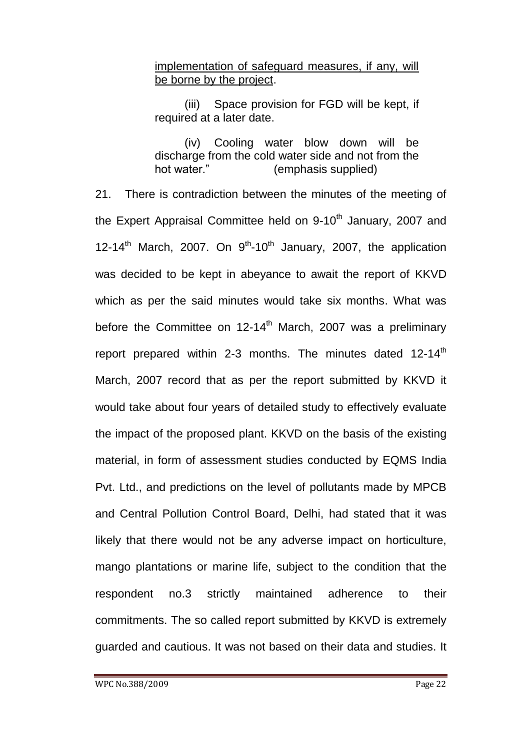### implementation of safeguard measures, if any, will be borne by the project.

(iii) Space provision for FGD will be kept, if required at a later date.

(iv) Cooling water blow down will be discharge from the cold water side and not from the hot water." (emphasis supplied)

21. There is contradiction between the minutes of the meeting of the Expert Appraisal Committee held on 9-10<sup>th</sup> January, 2007 and 12-14<sup>th</sup> March, 2007. On  $9^{th}$ -10<sup>th</sup> January, 2007, the application was decided to be kept in abeyance to await the report of KKVD which as per the said minutes would take six months. What was before the Committee on  $12-14<sup>th</sup>$  March, 2007 was a preliminary report prepared within 2-3 months. The minutes dated 12-14<sup>th</sup> March, 2007 record that as per the report submitted by KKVD it would take about four years of detailed study to effectively evaluate the impact of the proposed plant. KKVD on the basis of the existing material, in form of assessment studies conducted by EQMS India Pvt. Ltd., and predictions on the level of pollutants made by MPCB and Central Pollution Control Board, Delhi, had stated that it was likely that there would not be any adverse impact on horticulture, mango plantations or marine life, subject to the condition that the respondent no.3 strictly maintained adherence to their commitments. The so called report submitted by KKVD is extremely guarded and cautious. It was not based on their data and studies. It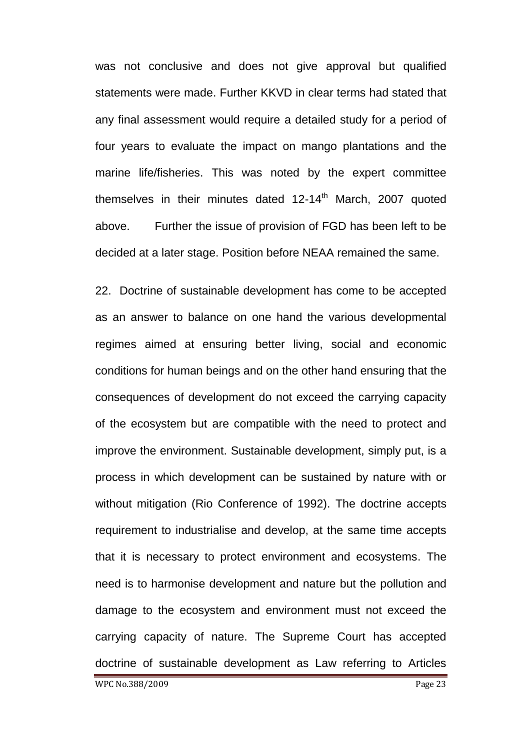was not conclusive and does not give approval but qualified statements were made. Further KKVD in clear terms had stated that any final assessment would require a detailed study for a period of four years to evaluate the impact on mango plantations and the marine life/fisheries. This was noted by the expert committee themselves in their minutes dated  $12-14<sup>th</sup>$  March, 2007 quoted above. Further the issue of provision of FGD has been left to be decided at a later stage. Position before NEAA remained the same.

22. Doctrine of sustainable development has come to be accepted as an answer to balance on one hand the various developmental regimes aimed at ensuring better living, social and economic conditions for human beings and on the other hand ensuring that the consequences of development do not exceed the carrying capacity of the ecosystem but are compatible with the need to protect and improve the environment. Sustainable development, simply put, is a process in which development can be sustained by nature with or without mitigation (Rio Conference of 1992). The doctrine accepts requirement to industrialise and develop, at the same time accepts that it is necessary to protect environment and ecosystems. The need is to harmonise development and nature but the pollution and damage to the ecosystem and environment must not exceed the carrying capacity of nature. The Supreme Court has accepted doctrine of sustainable development as Law referring to Articles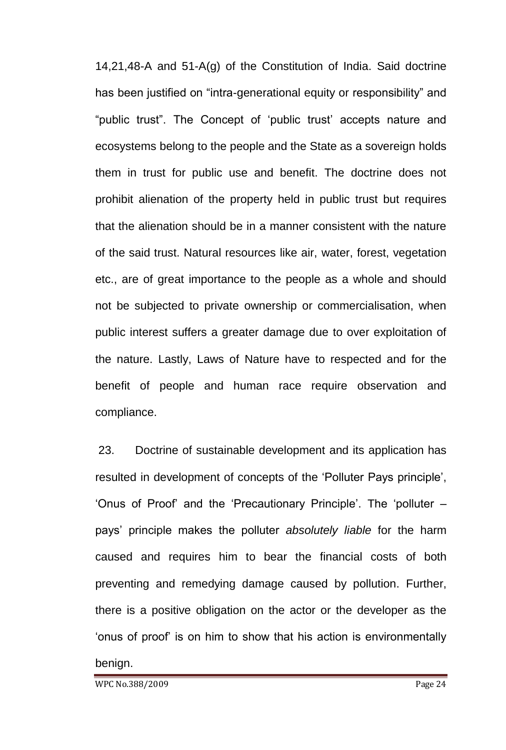14,21,48-A and 51-A(g) of the Constitution of India. Said doctrine has been justified on "intra-generational equity or responsibility" and "public trust". The Concept of "public trust" accepts nature and ecosystems belong to the people and the State as a sovereign holds them in trust for public use and benefit. The doctrine does not prohibit alienation of the property held in public trust but requires that the alienation should be in a manner consistent with the nature of the said trust. Natural resources like air, water, forest, vegetation etc., are of great importance to the people as a whole and should not be subjected to private ownership or commercialisation, when public interest suffers a greater damage due to over exploitation of the nature. Lastly, Laws of Nature have to respected and for the benefit of people and human race require observation and compliance.

23. Doctrine of sustainable development and its application has resulted in development of concepts of the "Polluter Pays principle", 'Onus of Proof' and the 'Precautionary Principle'. The 'polluter – pays" principle makes the polluter *absolutely liable* for the harm caused and requires him to bear the financial costs of both preventing and remedying damage caused by pollution. Further, there is a positive obligation on the actor or the developer as the "onus of proof" is on him to show that his action is environmentally benign.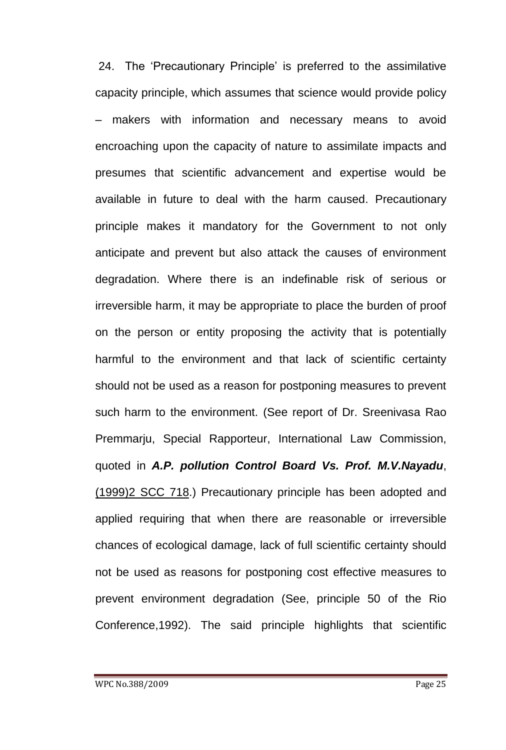24. The "Precautionary Principle" is preferred to the assimilative capacity principle, which assumes that science would provide policy makers with information and necessary means to avoid encroaching upon the capacity of nature to assimilate impacts and presumes that scientific advancement and expertise would be available in future to deal with the harm caused. Precautionary principle makes it mandatory for the Government to not only anticipate and prevent but also attack the causes of environment degradation. Where there is an indefinable risk of serious or irreversible harm, it may be appropriate to place the burden of proof on the person or entity proposing the activity that is potentially harmful to the environment and that lack of scientific certainty should not be used as a reason for postponing measures to prevent such harm to the environment. (See report of Dr. Sreenivasa Rao Premmarju, Special Rapporteur, International Law Commission, quoted in *A.P. pollution Control Board Vs. Prof. M.V.Nayadu*, (1999)2 SCC 718.) Precautionary principle has been adopted and applied requiring that when there are reasonable or irreversible chances of ecological damage, lack of full scientific certainty should not be used as reasons for postponing cost effective measures to prevent environment degradation (See, principle 50 of the Rio Conference,1992). The said principle highlights that scientific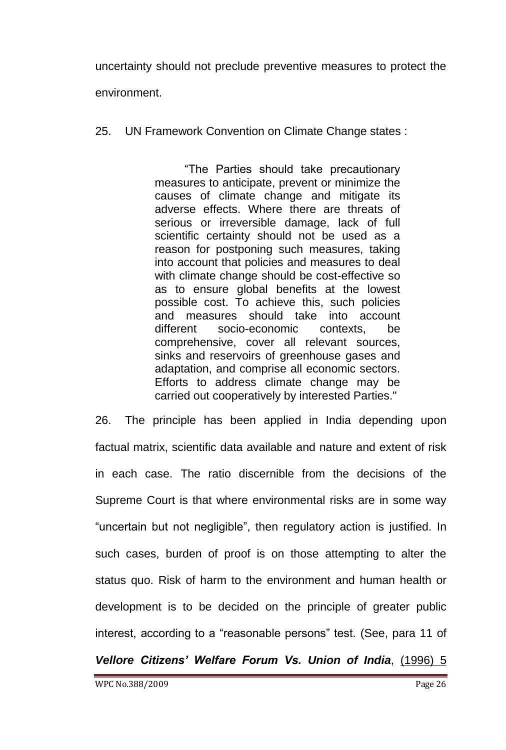uncertainty should not preclude preventive measures to protect the environment.

25. UN Framework Convention on Climate Change states :

"The Parties should take precautionary measures to anticipate, prevent or minimize the causes of climate change and mitigate its adverse effects. Where there are threats of serious or irreversible damage, lack of full scientific certainty should not be used as a reason for postponing such measures, taking into account that policies and measures to deal with climate change should be cost-effective so as to ensure global benefits at the lowest possible cost. To achieve this, such policies and measures should take into account different socio-economic contexts, be comprehensive, cover all relevant sources, sinks and reservoirs of greenhouse gases and adaptation, and comprise all economic sectors. Efforts to address climate change may be carried out cooperatively by interested Parties."

26. The principle has been applied in India depending upon factual matrix, scientific data available and nature and extent of risk in each case. The ratio discernible from the decisions of the Supreme Court is that where environmental risks are in some way "uncertain but not negligible", then regulatory action is justified. In such cases, burden of proof is on those attempting to alter the status quo. Risk of harm to the environment and human health or development is to be decided on the principle of greater public interest, according to a "reasonable persons" test. (See, para 11 of

*Vellore Citizens' Welfare Forum Vs. Union of India*, (1996) 5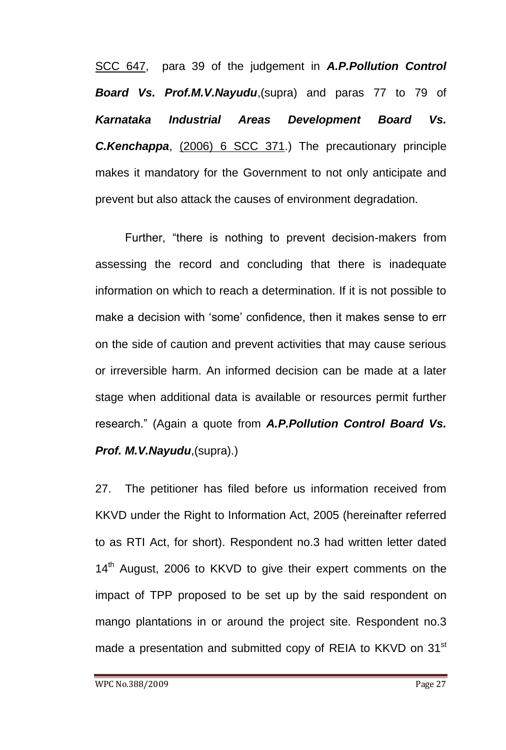SCC 647, para 39 of the judgement in *A.P.Pollution Control Board Vs. Prof.M.V.Nayudu*,(supra) and paras 77 to 79 of *Karnataka Industrial Areas Development Board Vs. C.Kenchappa*, (2006) 6 SCC 371.) The precautionary principle makes it mandatory for the Government to not only anticipate and prevent but also attack the causes of environment degradation.

Further, "there is nothing to prevent decision-makers from assessing the record and concluding that there is inadequate information on which to reach a determination. If it is not possible to make a decision with 'some' confidence, then it makes sense to err on the side of caution and prevent activities that may cause serious or irreversible harm. An informed decision can be made at a later stage when additional data is available or resources permit further research." (Again a quote from *A.P.Pollution Control Board Vs. Prof. M.V.Nayudu*,(supra).)

27. The petitioner has filed before us information received from KKVD under the Right to Information Act, 2005 (hereinafter referred to as RTI Act, for short). Respondent no.3 had written letter dated 14<sup>th</sup> August, 2006 to KKVD to give their expert comments on the impact of TPP proposed to be set up by the said respondent on mango plantations in or around the project site. Respondent no.3 made a presentation and submitted copy of REIA to KKVD on 31<sup>st</sup>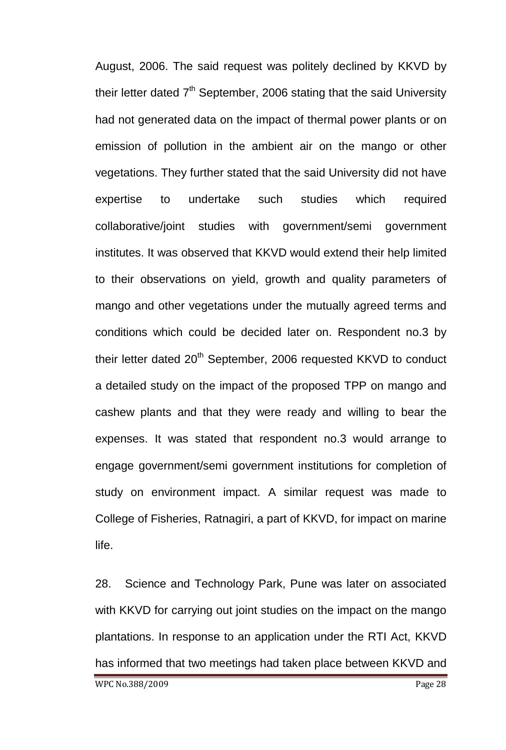August, 2006. The said request was politely declined by KKVD by their letter dated  $7<sup>th</sup>$  September, 2006 stating that the said University had not generated data on the impact of thermal power plants or on emission of pollution in the ambient air on the mango or other vegetations. They further stated that the said University did not have expertise to undertake such studies which required collaborative/joint studies with government/semi government institutes. It was observed that KKVD would extend their help limited to their observations on yield, growth and quality parameters of mango and other vegetations under the mutually agreed terms and conditions which could be decided later on. Respondent no.3 by their letter dated 20<sup>th</sup> September, 2006 requested KKVD to conduct a detailed study on the impact of the proposed TPP on mango and cashew plants and that they were ready and willing to bear the expenses. It was stated that respondent no.3 would arrange to engage government/semi government institutions for completion of study on environment impact. A similar request was made to College of Fisheries, Ratnagiri, a part of KKVD, for impact on marine life.

28. Science and Technology Park, Pune was later on associated with KKVD for carrying out joint studies on the impact on the mango plantations. In response to an application under the RTI Act, KKVD has informed that two meetings had taken place between KKVD and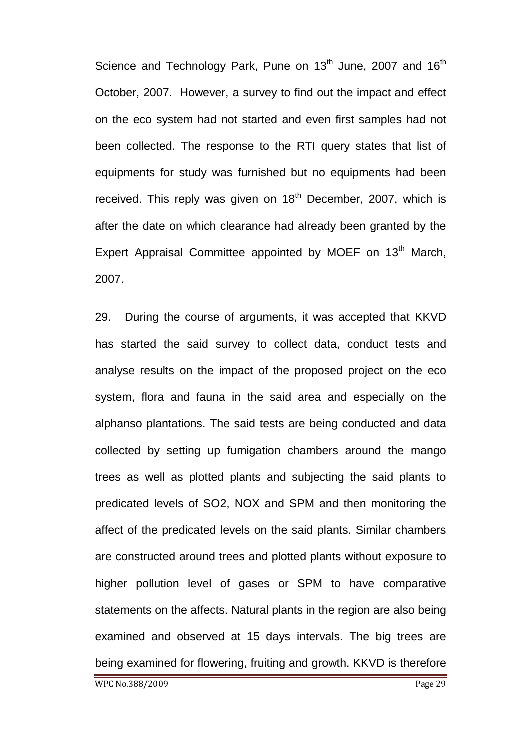Science and Technology Park, Pune on 13<sup>th</sup> June, 2007 and 16<sup>th</sup> October, 2007. However, a survey to find out the impact and effect on the eco system had not started and even first samples had not been collected. The response to the RTI query states that list of equipments for study was furnished but no equipments had been received. This reply was given on  $18<sup>th</sup>$  December, 2007, which is after the date on which clearance had already been granted by the Expert Appraisal Committee appointed by MOEF on 13<sup>th</sup> March, 2007.

29. During the course of arguments, it was accepted that KKVD has started the said survey to collect data, conduct tests and analyse results on the impact of the proposed project on the eco system, flora and fauna in the said area and especially on the alphanso plantations. The said tests are being conducted and data collected by setting up fumigation chambers around the mango trees as well as plotted plants and subjecting the said plants to predicated levels of SO2, NOX and SPM and then monitoring the affect of the predicated levels on the said plants. Similar chambers are constructed around trees and plotted plants without exposure to higher pollution level of gases or SPM to have comparative statements on the affects. Natural plants in the region are also being examined and observed at 15 days intervals. The big trees are being examined for flowering, fruiting and growth. KKVD is therefore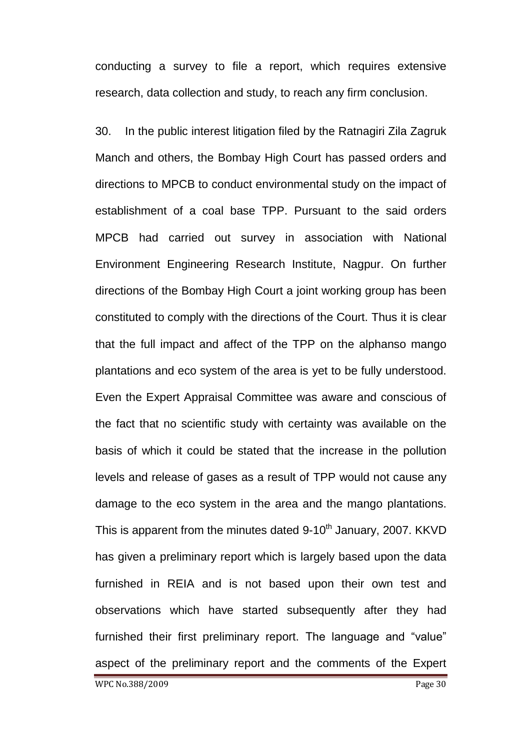conducting a survey to file a report, which requires extensive research, data collection and study, to reach any firm conclusion.

30. In the public interest litigation filed by the Ratnagiri Zila Zagruk Manch and others, the Bombay High Court has passed orders and directions to MPCB to conduct environmental study on the impact of establishment of a coal base TPP. Pursuant to the said orders MPCB had carried out survey in association with National Environment Engineering Research Institute, Nagpur. On further directions of the Bombay High Court a joint working group has been constituted to comply with the directions of the Court. Thus it is clear that the full impact and affect of the TPP on the alphanso mango plantations and eco system of the area is yet to be fully understood. Even the Expert Appraisal Committee was aware and conscious of the fact that no scientific study with certainty was available on the basis of which it could be stated that the increase in the pollution levels and release of gases as a result of TPP would not cause any damage to the eco system in the area and the mango plantations. This is apparent from the minutes dated  $9-10^{th}$  January, 2007. KKVD has given a preliminary report which is largely based upon the data furnished in REIA and is not based upon their own test and observations which have started subsequently after they had furnished their first preliminary report. The language and "value" aspect of the preliminary report and the comments of the Expert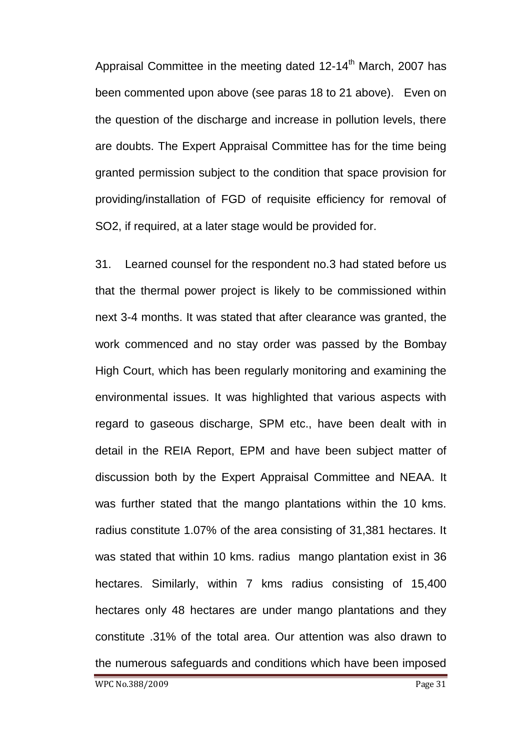Appraisal Committee in the meeting dated  $12-14<sup>th</sup>$  March, 2007 has been commented upon above (see paras 18 to 21 above). Even on the question of the discharge and increase in pollution levels, there are doubts. The Expert Appraisal Committee has for the time being granted permission subject to the condition that space provision for providing/installation of FGD of requisite efficiency for removal of SO2, if required, at a later stage would be provided for.

31. Learned counsel for the respondent no.3 had stated before us that the thermal power project is likely to be commissioned within next 3-4 months. It was stated that after clearance was granted, the work commenced and no stay order was passed by the Bombay High Court, which has been regularly monitoring and examining the environmental issues. It was highlighted that various aspects with regard to gaseous discharge, SPM etc., have been dealt with in detail in the REIA Report, EPM and have been subject matter of discussion both by the Expert Appraisal Committee and NEAA. It was further stated that the mango plantations within the 10 kms. radius constitute 1.07% of the area consisting of 31,381 hectares. It was stated that within 10 kms. radius mango plantation exist in 36 hectares. Similarly, within 7 kms radius consisting of 15,400 hectares only 48 hectares are under mango plantations and they constitute .31% of the total area. Our attention was also drawn to the numerous safeguards and conditions which have been imposed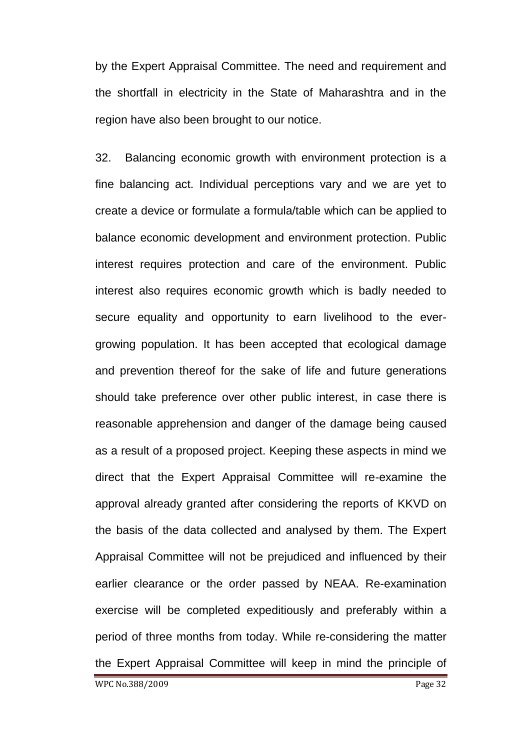by the Expert Appraisal Committee. The need and requirement and the shortfall in electricity in the State of Maharashtra and in the region have also been brought to our notice.

32. Balancing economic growth with environment protection is a fine balancing act. Individual perceptions vary and we are yet to create a device or formulate a formula/table which can be applied to balance economic development and environment protection. Public interest requires protection and care of the environment. Public interest also requires economic growth which is badly needed to secure equality and opportunity to earn livelihood to the evergrowing population. It has been accepted that ecological damage and prevention thereof for the sake of life and future generations should take preference over other public interest, in case there is reasonable apprehension and danger of the damage being caused as a result of a proposed project. Keeping these aspects in mind we direct that the Expert Appraisal Committee will re-examine the approval already granted after considering the reports of KKVD on the basis of the data collected and analysed by them. The Expert Appraisal Committee will not be prejudiced and influenced by their earlier clearance or the order passed by NEAA. Re-examination exercise will be completed expeditiously and preferably within a period of three months from today. While re-considering the matter the Expert Appraisal Committee will keep in mind the principle of